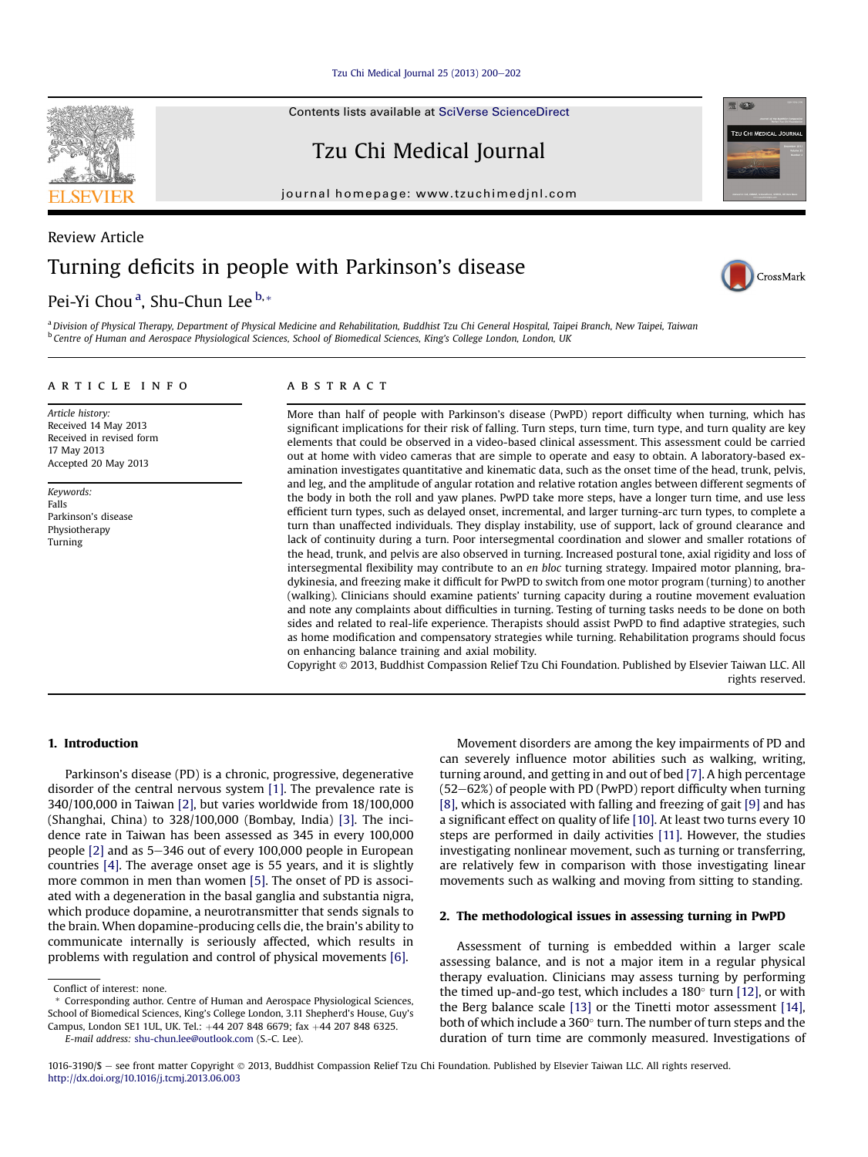[Tzu Chi Medical Journal 25 \(2013\) 200](http://dx.doi.org/10.1016/j.tcmj.2013.06.003)-[202](http://dx.doi.org/10.1016/j.tcmj.2013.06.003)

Contents lists available at [SciVerse ScienceDirect](www.sciencedirect.com/science/journal/10163190)

Tzu Chi Medical Journal

journal homepage: [www.tzuchimedjnl.com](http://www.tzuchimedjnl.com)



# Pei-Yi Chou<sup>a</sup>, Shu-Chun Lee <sup>b,</sup>\*

CrossMark

**RELACE** 

**TZU CHI MEDICAL JOUR** 

a Division of Physical Therapy, Department of Physical Medicine and Rehabilitation, Buddhist Tzu Chi General Hospital, Taipei Branch, New Taipei, Taiwan <sup>b</sup> Centre of Human and Aerospace Physiological Sciences, School of Biomedical Sciences, King's College London, London, UK

# article info

Article history: Received 14 May 2013 Received in revised form 17 May 2013 Accepted 20 May 2013

Keywords: Falls Parkinson's disease Physiotherapy Turning

# ABSTRACT

More than half of people with Parkinson's disease (PwPD) report difficulty when turning, which has significant implications for their risk of falling. Turn steps, turn time, turn type, and turn quality are key elements that could be observed in a video-based clinical assessment. This assessment could be carried out at home with video cameras that are simple to operate and easy to obtain. A laboratory-based examination investigates quantitative and kinematic data, such as the onset time of the head, trunk, pelvis, and leg, and the amplitude of angular rotation and relative rotation angles between different segments of the body in both the roll and yaw planes. PwPD take more steps, have a longer turn time, and use less efficient turn types, such as delayed onset, incremental, and larger turning-arc turn types, to complete a turn than unaffected individuals. They display instability, use of support, lack of ground clearance and lack of continuity during a turn. Poor intersegmental coordination and slower and smaller rotations of the head, trunk, and pelvis are also observed in turning. Increased postural tone, axial rigidity and loss of intersegmental flexibility may contribute to an en bloc turning strategy. Impaired motor planning, bradykinesia, and freezing make it difficult for PwPD to switch from one motor program (turning) to another (walking). Clinicians should examine patients' turning capacity during a routine movement evaluation and note any complaints about difficulties in turning. Testing of turning tasks needs to be done on both sides and related to real-life experience. Therapists should assist PwPD to find adaptive strategies, such as home modification and compensatory strategies while turning. Rehabilitation programs should focus on enhancing balance training and axial mobility.

Copyright 2013, Buddhist Compassion Relief Tzu Chi Foundation. Published by Elsevier Taiwan LLC. All rights reserved.

# 1. Introduction

Parkinson's disease (PD) is a chronic, progressive, degenerative disorder of the central nervous system [\[1\].](#page-2-0) The prevalence rate is 340/100,000 in Taiwan [\[2\],](#page-2-0) but varies worldwide from 18/100,000 (Shanghai, China) to 328/100,000 (Bombay, India) [\[3\]](#page-2-0). The incidence rate in Taiwan has been assessed as 345 in every 100,000 people  $[2]$  and as 5-346 out of every 100,000 people in European countries [\[4\].](#page-2-0) The average onset age is 55 years, and it is slightly more common in men than women [\[5\]](#page-2-0). The onset of PD is associated with a degeneration in the basal ganglia and substantia nigra, which produce dopamine, a neurotransmitter that sends signals to the brain. When dopamine-producing cells die, the brain's ability to communicate internally is seriously affected, which results in problems with regulation and control of physical movements [\[6\]](#page-2-0).

Movement disorders are among the key impairments of PD and can severely influence motor abilities such as walking, writing, turning around, and getting in and out of bed [\[7\].](#page-2-0) A high percentage  $(52-62%)$  of people with PD (PwPD) report difficulty when turning [\[8\]](#page-2-0), which is associated with falling and freezing of gait [\[9\]](#page-2-0) and has a significant effect on quality of life [\[10\]](#page-2-0). At least two turns every 10 steps are performed in daily activities [\[11\].](#page-2-0) However, the studies investigating nonlinear movement, such as turning or transferring, are relatively few in comparison with those investigating linear movements such as walking and moving from sitting to standing.

#### 2. The methodological issues in assessing turning in PwPD

Assessment of turning is embedded within a larger scale assessing balance, and is not a major item in a regular physical therapy evaluation. Clinicians may assess turning by performing the timed up-and-go test, which includes a  $180^\circ$  turn [\[12\],](#page-2-0) or with the Berg balance scale [\[13\]](#page-2-0) or the Tinetti motor assessment [\[14\],](#page-2-0) both of which include a  $360^\circ$  turn. The number of turn steps and the duration of turn time are commonly measured. Investigations of



Conflict of interest: none.

<sup>\*</sup> Corresponding author. Centre of Human and Aerospace Physiological Sciences, School of Biomedical Sciences, King's College London, 3.11 Shepherd's House, Guy's Campus, London SE1 1UL, UK. Tel.: +44 207 848 6679; fax +44 207 848 6325. E-mail address: [shu-chun.lee@outlook.com](mailto:shu-chun.lee@outlook.com) (S.-C. Lee).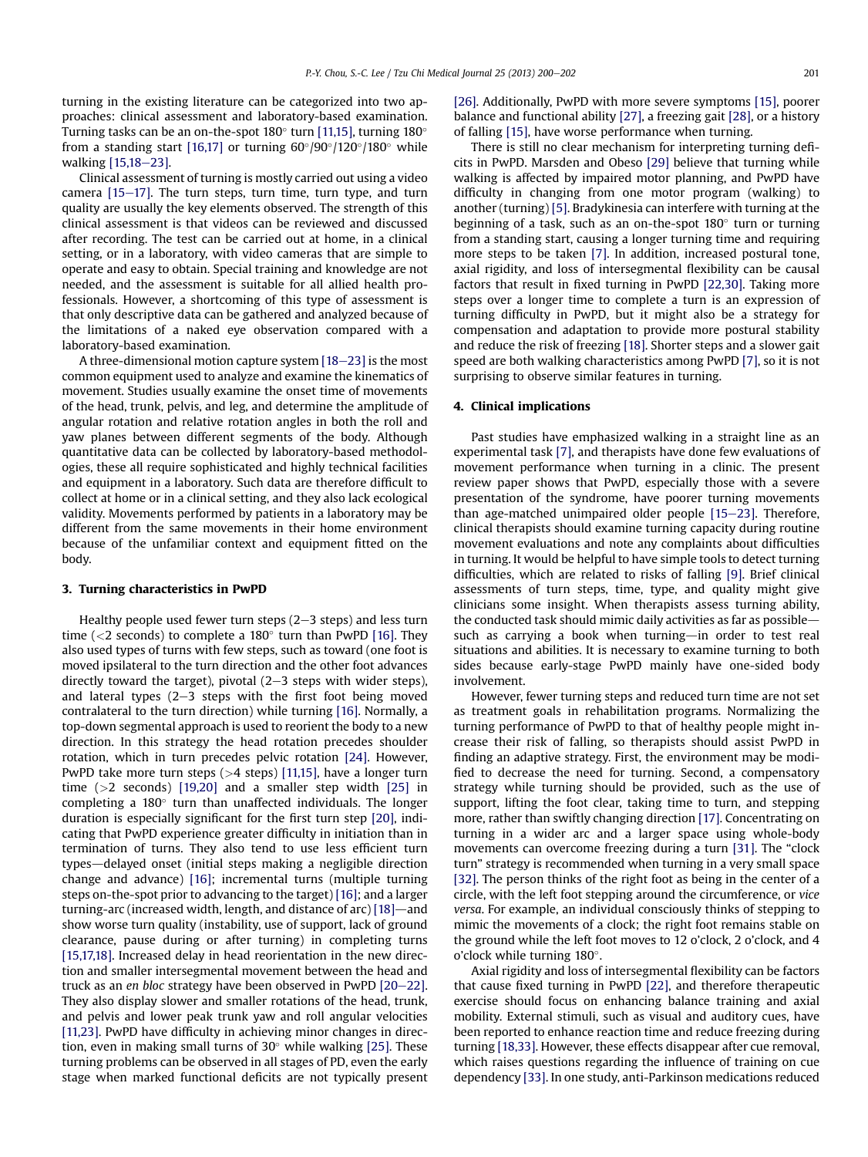turning in the existing literature can be categorized into two approaches: clinical assessment and laboratory-based examination. Turning tasks can be an on-the-spot  $180^\circ$  turn [\[11,15\]](#page-2-0), turning  $180^\circ$ from a standing start [\[16,17\]](#page-2-0) or turning  $60^{\circ}/90^{\circ}/120^{\circ}/180^{\circ}$  while walking [\[15,18](#page-2-0)-[23\].](#page-2-0)

Clinical assessment of turning is mostly carried out using a video camera  $[15-17]$  $[15-17]$  $[15-17]$ . The turn steps, turn time, turn type, and turn quality are usually the key elements observed. The strength of this clinical assessment is that videos can be reviewed and discussed after recording. The test can be carried out at home, in a clinical setting, or in a laboratory, with video cameras that are simple to operate and easy to obtain. Special training and knowledge are not needed, and the assessment is suitable for all allied health professionals. However, a shortcoming of this type of assessment is that only descriptive data can be gathered and analyzed because of the limitations of a naked eye observation compared with a laboratory-based examination.

A three-dimensional motion capture system  $[18-23]$  $[18-23]$  $[18-23]$  is the most common equipment used to analyze and examine the kinematics of movement. Studies usually examine the onset time of movements of the head, trunk, pelvis, and leg, and determine the amplitude of angular rotation and relative rotation angles in both the roll and yaw planes between different segments of the body. Although quantitative data can be collected by laboratory-based methodologies, these all require sophisticated and highly technical facilities and equipment in a laboratory. Such data are therefore difficult to collect at home or in a clinical setting, and they also lack ecological validity. Movements performed by patients in a laboratory may be different from the same movements in their home environment because of the unfamiliar context and equipment fitted on the body.

#### 3. Turning characteristics in PwPD

Healthy people used fewer turn steps  $(2-3$  steps) and less turn time ( $\langle 2 \rangle$  seconds) to complete a 180 $\degree$  turn than PwPD [\[16\].](#page-2-0) They also used types of turns with few steps, such as toward (one foot is moved ipsilateral to the turn direction and the other foot advances directly toward the target), pivotal  $(2-3$  steps with wider steps), and lateral types  $(2-3$  steps with the first foot being moved contralateral to the turn direction) while turning [\[16\].](#page-2-0) Normally, a top-down segmental approach is used to reorient the body to a new direction. In this strategy the head rotation precedes shoulder rotation, which in turn precedes pelvic rotation [\[24\]](#page-2-0). However, PwPD take more turn steps (>4 steps) [\[11,15\],](#page-2-0) have a longer turn time (>2 seconds) [\[19,20\]](#page-2-0) and a smaller step width [\[25\]](#page-2-0) in completing a  $180^\circ$  turn than unaffected individuals. The longer duration is especially significant for the first turn step [\[20\]](#page-2-0), indicating that PwPD experience greater difficulty in initiation than in termination of turns. They also tend to use less efficient turn types—delayed onset (initial steps making a negligible direction change and advance) [\[16\]](#page-2-0); incremental turns (multiple turning steps on-the-spot prior to advancing to the target) [\[16\]](#page-2-0); and a larger turning-arc (increased width, length, and distance of arc)  $[18]$ —and show worse turn quality (instability, use of support, lack of ground clearance, pause during or after turning) in completing turns [\[15,17,18\].](#page-2-0) Increased delay in head reorientation in the new direction and smaller intersegmental movement between the head and truck as an en bloc strategy have been observed in PwPD  $[20-22]$  $[20-22]$ . They also display slower and smaller rotations of the head, trunk, and pelvis and lower peak trunk yaw and roll angular velocities [\[11,23\].](#page-2-0) PwPD have difficulty in achieving minor changes in direction, even in making small turns of  $30^{\circ}$  while walking [\[25\]](#page-2-0). These turning problems can be observed in all stages of PD, even the early stage when marked functional deficits are not typically present [\[26\].](#page-2-0) Additionally, PwPD with more severe symptoms [\[15\],](#page-2-0) poorer balance and functional ability [\[27\]](#page-2-0), a freezing gait [\[28\]](#page-2-0), or a history of falling [\[15\]](#page-2-0), have worse performance when turning.

There is still no clear mechanism for interpreting turning deficits in PwPD. Marsden and Obeso [\[29\]](#page-2-0) believe that turning while walking is affected by impaired motor planning, and PwPD have difficulty in changing from one motor program (walking) to another (turning) [\[5\]](#page-2-0). Bradykinesia can interfere with turning at the beginning of a task, such as an on-the-spot  $180^\circ$  turn or turning from a standing start, causing a longer turning time and requiring more steps to be taken [\[7\].](#page-2-0) In addition, increased postural tone, axial rigidity, and loss of intersegmental flexibility can be causal factors that result in fixed turning in PwPD [\[22,30\].](#page-2-0) Taking more steps over a longer time to complete a turn is an expression of turning difficulty in PwPD, but it might also be a strategy for compensation and adaptation to provide more postural stability and reduce the risk of freezing [\[18\].](#page-2-0) Shorter steps and a slower gait speed are both walking characteristics among PwPD [\[7\]](#page-2-0), so it is not surprising to observe similar features in turning.

#### 4. Clinical implications

Past studies have emphasized walking in a straight line as an experimental task [\[7\]](#page-2-0), and therapists have done few evaluations of movement performance when turning in a clinic. The present review paper shows that PwPD, especially those with a severe presentation of the syndrome, have poorer turning movements than age-matched unimpaired older people  $[15-23]$  $[15-23]$  $[15-23]$ . Therefore, clinical therapists should examine turning capacity during routine movement evaluations and note any complaints about difficulties in turning. It would be helpful to have simple tools to detect turning difficulties, which are related to risks of falling [\[9\]](#page-2-0). Brief clinical assessments of turn steps, time, type, and quality might give clinicians some insight. When therapists assess turning ability, the conducted task should mimic daily activities as far as possiblesuch as carrying a book when turning—in order to test real situations and abilities. It is necessary to examine turning to both sides because early-stage PwPD mainly have one-sided body involvement.

However, fewer turning steps and reduced turn time are not set as treatment goals in rehabilitation programs. Normalizing the turning performance of PwPD to that of healthy people might increase their risk of falling, so therapists should assist PwPD in finding an adaptive strategy. First, the environment may be modified to decrease the need for turning. Second, a compensatory strategy while turning should be provided, such as the use of support, lifting the foot clear, taking time to turn, and stepping more, rather than swiftly changing direction [\[17\].](#page-2-0) Concentrating on turning in a wider arc and a larger space using whole-body movements can overcome freezing during a turn [\[31\]](#page-2-0). The "clock turn" strategy is recommended when turning in a very small space [\[32\].](#page-2-0) The person thinks of the right foot as being in the center of a circle, with the left foot stepping around the circumference, or vice versa. For example, an individual consciously thinks of stepping to mimic the movements of a clock; the right foot remains stable on the ground while the left foot moves to 12 o'clock, 2 o'clock, and 4 o'clock while turning 180°.

Axial rigidity and loss of intersegmental flexibility can be factors that cause fixed turning in PwPD [\[22\],](#page-2-0) and therefore therapeutic exercise should focus on enhancing balance training and axial mobility. External stimuli, such as visual and auditory cues, have been reported to enhance reaction time and reduce freezing during turning [\[18,33\].](#page-2-0) However, these effects disappear after cue removal, which raises questions regarding the influence of training on cue dependency [\[33\].](#page-2-0) In one study, anti-Parkinson medications reduced